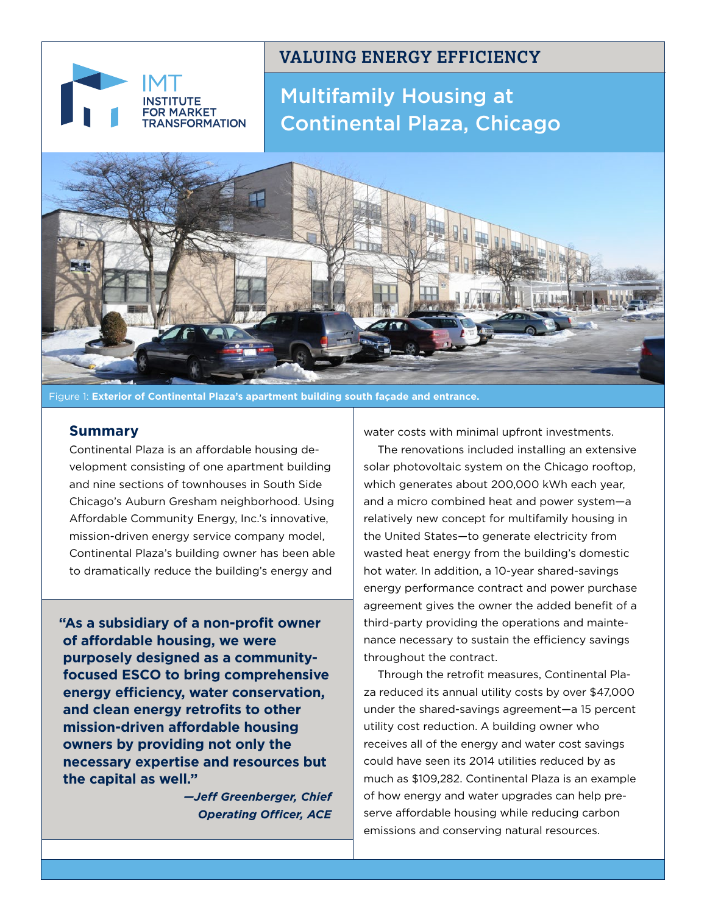# **ARKET FORMATION**

# **VALUING ENERGY EFFICIENCY**

Multifamily Housing at Continental Plaza, Chicago



Figure 1: **Exterior of Continental Plaza's apartment building south façade and entrance.**

# **Summary**

Continental Plaza is an affordable housing development consisting of one apartment building and nine sections of townhouses in South Side Chicago's Auburn Gresham neighborhood. Using Affordable Community Energy, Inc.'s innovative, mission-driven energy service company model, Continental Plaza's building owner has been able to dramatically reduce the building's energy and

**"As a subsidiary of a non-profit owner of affordable housing, we were purposely designed as a communityfocused ESCO to bring comprehensive energy efficiency, water conservation, and clean energy retrofits to other mission-driven affordable housing owners by providing not only the necessary expertise and resources but the capital as well."**

> *—Jeff Greenberger, Chief Operating Officer, ACE*

water costs with minimal upfront investments.

The renovations included installing an extensive solar photovoltaic system on the Chicago rooftop, which generates about 200,000 kWh each year, and a micro combined heat and power system—a relatively new concept for multifamily housing in the United States—to generate electricity from wasted heat energy from the building's domestic hot water. In addition, a 10-year shared-savings energy performance contract and power purchase agreement gives the owner the added benefit of a third-party providing the operations and maintenance necessary to sustain the efficiency savings throughout the contract.

Through the retrofit measures, Continental Plaza reduced its annual utility costs by over \$47,000 under the shared-savings agreement—a 15 percent utility cost reduction. A building owner who receives all of the energy and water cost savings could have seen its 2014 utilities reduced by as much as \$109,282. Continental Plaza is an example of how energy and water upgrades can help preserve affordable housing while reducing carbon emissions and conserving natural resources.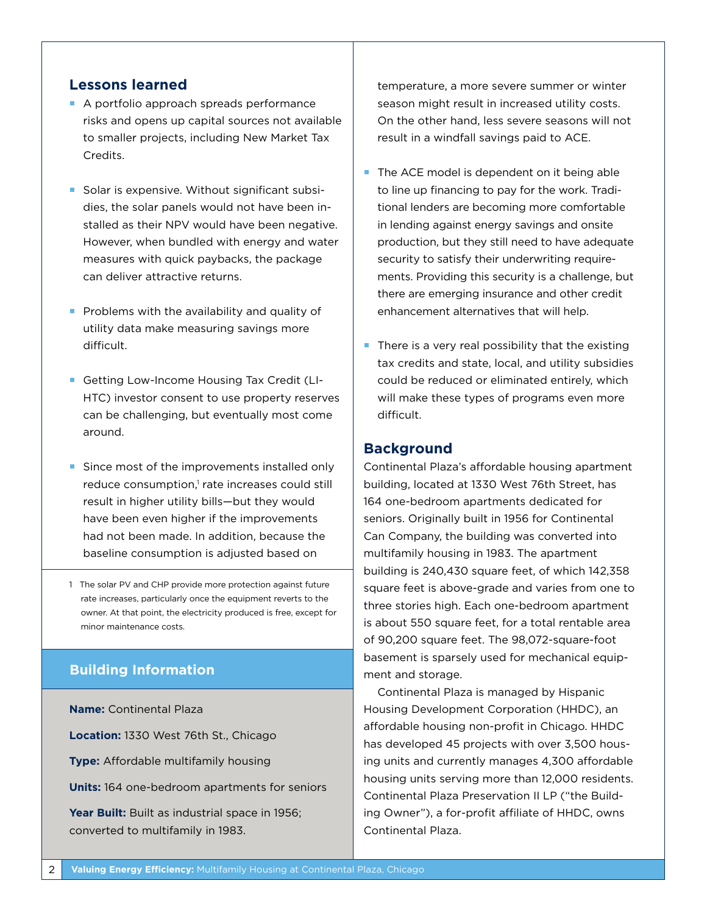# **Lessons learned**

- A portfolio approach spreads performance risks and opens up capital sources not available to smaller projects, including New Market Tax Credits.
- Solar is expensive. Without significant subsidies, the solar panels would not have been installed as their NPV would have been negative. However, when bundled with energy and water measures with quick paybacks, the package can deliver attractive returns.
- Problems with the availability and quality of utility data make measuring savings more difficult.
- Getting Low-Income Housing Tax Credit (LI-HTC) investor consent to use property reserves can be challenging, but eventually most come around.
- Since most of the improvements installed only reduce consumption,<sup>1</sup> rate increases could still result in higher utility bills—but they would have been even higher if the improvements had not been made. In addition, because the baseline consumption is adjusted based on
- 1 The solar PV and CHP provide more protection against future rate increases, particularly once the equipment reverts to the owner. At that point, the electricity produced is free, except for minor maintenance costs.

# **Building Information**

**Name:** Continental Plaza **Location:** 1330 West 76th St., Chicago **Type:** Affordable multifamily housing **Units:** 164 one-bedroom apartments for seniors Year Built: Built as industrial space in 1956; converted to multifamily in 1983.

temperature, a more severe summer or winter season might result in increased utility costs. On the other hand, less severe seasons will not result in a windfall savings paid to ACE.

- $\blacksquare$  The ACE model is dependent on it being able to line up financing to pay for the work. Traditional lenders are becoming more comfortable in lending against energy savings and onsite production, but they still need to have adequate security to satisfy their underwriting requirements. Providing this security is a challenge, but there are emerging insurance and other credit enhancement alternatives that will help.
- $\blacksquare$  There is a very real possibility that the existing tax credits and state, local, and utility subsidies could be reduced or eliminated entirely, which will make these types of programs even more difficult.

## **Background**

Continental Plaza's affordable housing apartment building, located at 1330 West 76th Street, has 164 one-bedroom apartments dedicated for seniors. Originally built in 1956 for Continental Can Company, the building was converted into multifamily housing in 1983. The apartment building is 240,430 square feet, of which 142,358 square feet is above-grade and varies from one to three stories high. Each one-bedroom apartment is about 550 square feet, for a total rentable area of 90,200 square feet. The 98,072-square-foot basement is sparsely used for mechanical equipment and storage.

Continental Plaza is managed by Hispanic Housing Development Corporation (HHDC), an affordable housing non-profit in Chicago. HHDC has developed 45 projects with over 3,500 housing units and currently manages 4,300 affordable housing units serving more than 12,000 residents. Continental Plaza Preservation II LP ("the Building Owner"), a for-profit affiliate of HHDC, owns Continental Plaza.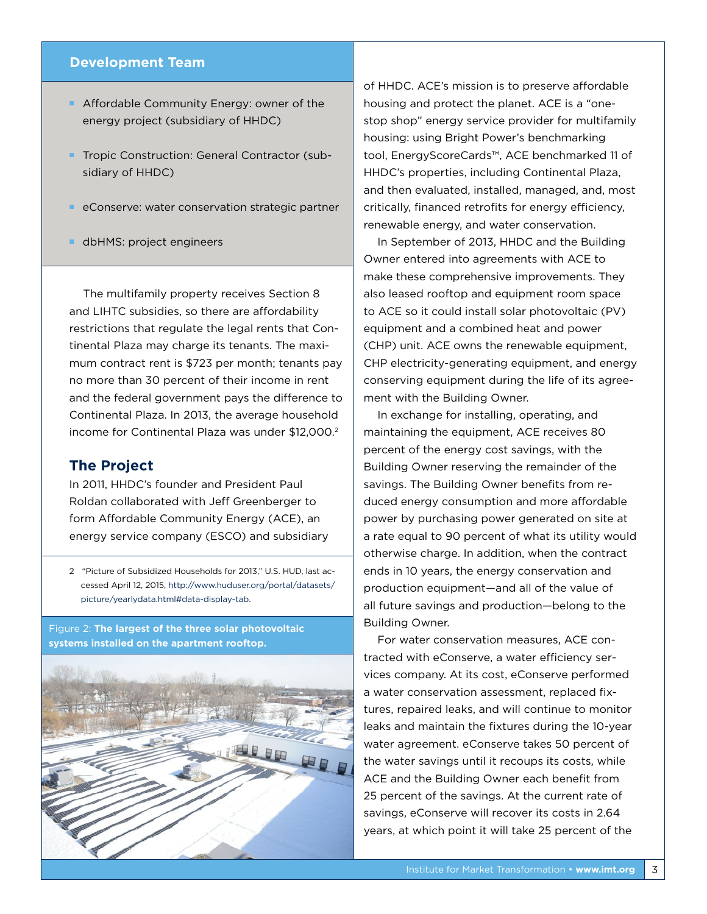## **Development Team**

- **Affordable Community Energy: owner of the** energy project (subsidiary of HHDC)
- **Tropic Construction: General Contractor (sub**sidiary of HHDC)
- eConserve: water conservation strategic partner
- **dbHMS:** project engineers

The multifamily property receives Section 8 and LIHTC subsidies, so there are affordability restrictions that regulate the legal rents that Continental Plaza may charge its tenants. The maximum contract rent is \$723 per month; tenants pay no more than 30 percent of their income in rent and the federal government pays the difference to Continental Plaza. In 2013, the average household income for Continental Plaza was under \$12,000.<sup>2</sup>

## **The Project**

In 2011, HHDC's founder and President Paul Roldan collaborated with Jeff Greenberger to form Affordable Community Energy (ACE), an energy service company (ESCO) and subsidiary

2 "Picture of Subsidized Households for 2013," U.S. HUD, last accessed April 12, 2015, [http://www.huduser.org/portal/datasets/](http://www.huduser.org/portal/datasets/picture/yearlydata.html#data-display-tab) [picture/yearlydata.html#data-display-tab.](http://www.huduser.org/portal/datasets/picture/yearlydata.html#data-display-tab)

Figure 2: **The largest of the three solar photovoltaic systems installed on the apartment rooftop.**



of HHDC. ACE's mission is to preserve affordable housing and protect the planet. ACE is a "onestop shop" energy service provider for multifamily housing: using Bright Power's benchmarking tool, EnergyScoreCards™, ACE benchmarked 11 of HHDC's properties, including Continental Plaza, and then evaluated, installed, managed, and, most critically, financed retrofits for energy efficiency, renewable energy, and water conservation.

In September of 2013, HHDC and the Building Owner entered into agreements with ACE to make these comprehensive improvements. They also leased rooftop and equipment room space to ACE so it could install solar photovoltaic (PV) equipment and a combined heat and power (CHP) unit. ACE owns the renewable equipment, CHP electricity-generating equipment, and energy conserving equipment during the life of its agreement with the Building Owner.

In exchange for installing, operating, and maintaining the equipment, ACE receives 80 percent of the energy cost savings, with the Building Owner reserving the remainder of the savings. The Building Owner benefits from reduced energy consumption and more affordable power by purchasing power generated on site at a rate equal to 90 percent of what its utility would otherwise charge. In addition, when the contract ends in 10 years, the energy conservation and production equipment—and all of the value of all future savings and production—belong to the Building Owner.

For water conservation measures, ACE contracted with eConserve, a water efficiency services company. At its cost, eConserve performed a water conservation assessment, replaced fixtures, repaired leaks, and will continue to monitor leaks and maintain the fixtures during the 10-year water agreement. eConserve takes 50 percent of the water savings until it recoups its costs, while ACE and the Building Owner each benefit from 25 percent of the savings. At the current rate of savings, eConserve will recover its costs in 2.64 years, at which point it will take 25 percent of the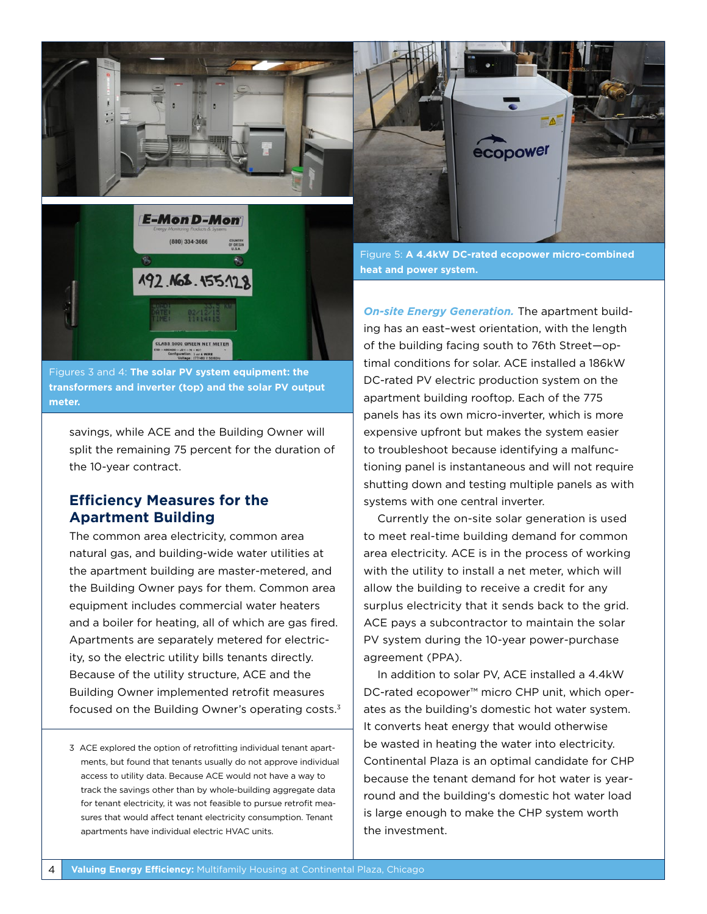



Figures 3 and 4: **The solar PV system equipment: the transformers and inverter (top) and the solar PV output meter.** 

savings, while ACE and the Building Owner will split the remaining 75 percent for the duration of the 10-year contract.

# **Efficiency Measures for the Apartment Building**

The common area electricity, common area natural gas, and building-wide water utilities at the apartment building are master-metered, and the Building Owner pays for them. Common area equipment includes commercial water heaters and a boiler for heating, all of which are gas fired. Apartments are separately metered for electricity, so the electric utility bills tenants directly. Because of the utility structure, ACE and the Building Owner implemented retrofit measures focused on the Building Owner's operating costs.3

3 ACE explored the option of retrofitting individual tenant apartments, but found that tenants usually do not approve individual access to utility data. Because ACE would not have a way to track the savings other than by whole-building aggregate data for tenant electricity, it was not feasible to pursue retrofit measures that would affect tenant electricity consumption. Tenant apartments have individual electric HVAC units.



Figure 5: **A 4.4kW DC-rated ecopower micro-combined heat and power system.**

*On-site Energy Generation.* The apartment building has an east–west orientation, with the length of the building facing south to 76th Street—optimal conditions for solar. ACE installed a 186kW DC-rated PV electric production system on the apartment building rooftop. Each of the 775 panels has its own micro-inverter, which is more expensive upfront but makes the system easier to troubleshoot because identifying a malfunctioning panel is instantaneous and will not require shutting down and testing multiple panels as with systems with one central inverter.

Currently the on-site solar generation is used to meet real-time building demand for common area electricity. ACE is in the process of working with the utility to install a net meter, which will allow the building to receive a credit for any surplus electricity that it sends back to the grid. ACE pays a subcontractor to maintain the solar PV system during the 10-year power-purchase agreement (PPA).

In addition to solar PV, ACE installed a 4.4kW DC-rated ecopower™ micro CHP unit, which operates as the building's domestic hot water system. It converts heat energy that would otherwise be wasted in heating the water into electricity. Continental Plaza is an optimal candidate for CHP because the tenant demand for hot water is yearround and the building's domestic hot water load is large enough to make the CHP system worth the investment.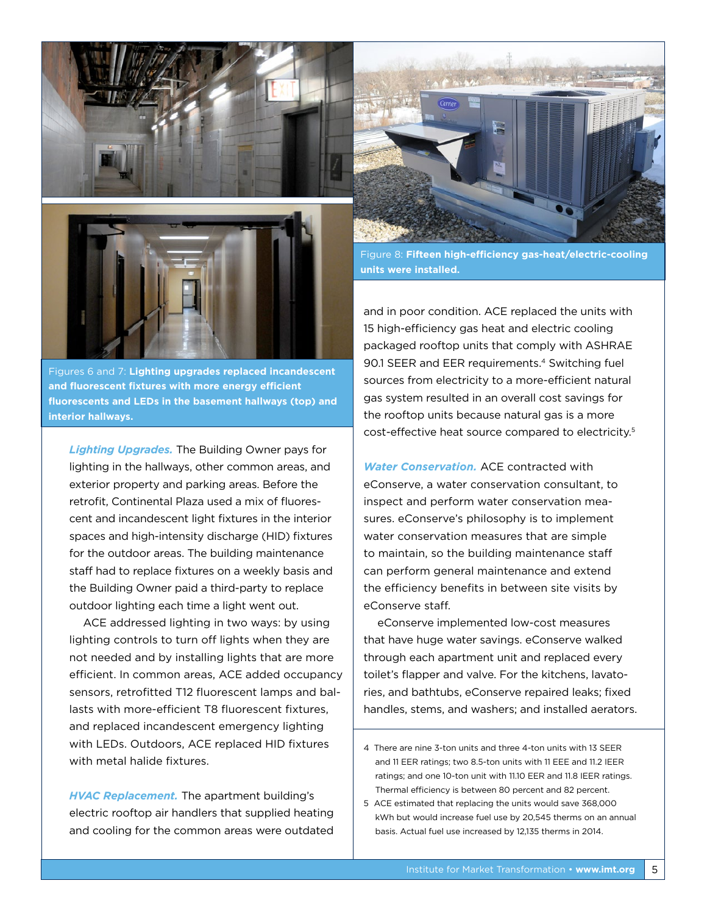



Figures 6 and 7: **Lighting upgrades replaced incandescent and fluorescent fixtures with more energy efficient fluorescents and LEDs in the basement hallways (top) and interior hallways.**

*Lighting Upgrades.* The Building Owner pays for lighting in the hallways, other common areas, and exterior property and parking areas. Before the retrofit, Continental Plaza used a mix of fluorescent and incandescent light fixtures in the interior spaces and high-intensity discharge (HID) fixtures for the outdoor areas. The building maintenance staff had to replace fixtures on a weekly basis and the Building Owner paid a third-party to replace outdoor lighting each time a light went out.

ACE addressed lighting in two ways: by using lighting controls to turn off lights when they are not needed and by installing lights that are more efficient. In common areas, ACE added occupancy sensors, retrofitted T12 fluorescent lamps and ballasts with more-efficient T8 fluorescent fixtures, and replaced incandescent emergency lighting with LEDs. Outdoors, ACE replaced HID fixtures with metal halide fixtures.

*HVAC Replacement.* The apartment building's electric rooftop air handlers that supplied heating and cooling for the common areas were outdated



Figure 8: **Fifteen high-efficiency gas-heat/electric-cooling units were installed.** 

and in poor condition. ACE replaced the units with 15 high-efficiency gas heat and electric cooling packaged rooftop units that comply with ASHRAE 90.1 SEER and EER requirements.<sup>4</sup> Switching fuel sources from electricity to a more-efficient natural gas system resulted in an overall cost savings for the rooftop units because natural gas is a more cost-effective heat source compared to electricity.5

*Water Conservation.* ACE contracted with eConserve, a water conservation consultant, to inspect and perform water conservation measures. eConserve's philosophy is to implement water conservation measures that are simple to maintain, so the building maintenance staff can perform general maintenance and extend the efficiency benefits in between site visits by eConserve staff.

eConserve implemented low-cost measures that have huge water savings. eConserve walked through each apartment unit and replaced every toilet's flapper and valve. For the kitchens, lavatories, and bathtubs, eConserve repaired leaks; fixed handles, stems, and washers; and installed aerators.

<sup>4</sup> There are nine 3-ton units and three 4-ton units with 13 SEER and 11 EER ratings; two 8.5-ton units with 11 EEE and 11.2 IEER ratings; and one 10-ton unit with 11.10 EER and 11.8 IEER ratings. Thermal efficiency is between 80 percent and 82 percent.

<sup>5</sup> ACE estimated that replacing the units would save 368,000 kWh but would increase fuel use by 20,545 therms on an annual basis. Actual fuel use increased by 12,135 therms in 2014.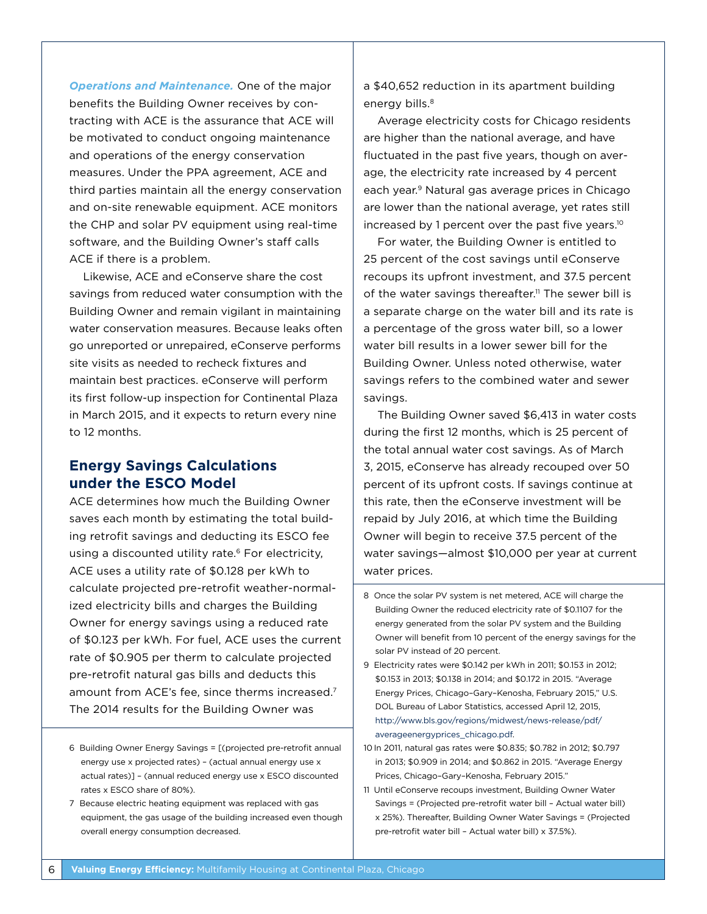*Operations and Maintenance.* One of the major benefits the Building Owner receives by contracting with ACE is the assurance that ACE will be motivated to conduct ongoing maintenance and operations of the energy conservation measures. Under the PPA agreement, ACE and third parties maintain all the energy conservation and on-site renewable equipment. ACE monitors the CHP and solar PV equipment using real-time software, and the Building Owner's staff calls ACE if there is a problem.

Likewise, ACE and eConserve share the cost savings from reduced water consumption with the Building Owner and remain vigilant in maintaining water conservation measures. Because leaks often go unreported or unrepaired, eConserve performs site visits as needed to recheck fixtures and maintain best practices. eConserve will perform its first follow-up inspection for Continental Plaza in March 2015, and it expects to return every nine to 12 months.

# **Energy Savings Calculations under the ESCO Model**

ACE determines how much the Building Owner saves each month by estimating the total building retrofit savings and deducting its ESCO fee using a discounted utility rate.<sup>6</sup> For electricity, ACE uses a utility rate of \$0.128 per kWh to calculate projected pre-retrofit weather-normalized electricity bills and charges the Building Owner for energy savings using a reduced rate of \$0.123 per kWh. For fuel, ACE uses the current rate of \$0.905 per therm to calculate projected pre-retrofit natural gas bills and deducts this amount from ACE's fee, since therms increased.7 The 2014 results for the Building Owner was

- 6 Building Owner Energy Savings = [(projected pre-retrofit annual energy use x projected rates) – (actual annual energy use x actual rates)] – (annual reduced energy use x ESCO discounted rates x ESCO share of 80%).
- 7 Because electric heating equipment was replaced with gas equipment, the gas usage of the building increased even though overall energy consumption decreased.

a \$40,652 reduction in its apartment building energy bills.<sup>8</sup>

Average electricity costs for Chicago residents are higher than the national average, and have fluctuated in the past five years, though on average, the electricity rate increased by 4 percent each year.9 Natural gas average prices in Chicago are lower than the national average, yet rates still increased by 1 percent over the past five years.10

For water, the Building Owner is entitled to 25 percent of the cost savings until eConserve recoups its upfront investment, and 37.5 percent of the water savings thereafter.<sup>11</sup> The sewer bill is a separate charge on the water bill and its rate is a percentage of the gross water bill, so a lower water bill results in a lower sewer bill for the Building Owner. Unless noted otherwise, water savings refers to the combined water and sewer savings.

The Building Owner saved \$6,413 in water costs during the first 12 months, which is 25 percent of the total annual water cost savings. As of March 3, 2015, eConserve has already recouped over 50 percent of its upfront costs. If savings continue at this rate, then the eConserve investment will be repaid by July 2016, at which time the Building Owner will begin to receive 37.5 percent of the water savings—almost \$10,000 per year at current water prices.

- 8 Once the solar PV system is net metered, ACE will charge the Building Owner the reduced electricity rate of \$0.1107 for the energy generated from the solar PV system and the Building Owner will benefit from 10 percent of the energy savings for the solar PV instead of 20 percent.
- 9 Electricity rates were \$0.142 per kWh in 2011; \$0.153 in 2012; \$0.153 in 2013; \$0.138 in 2014; and \$0.172 in 2015. "Average Energy Prices, Chicago–Gary–Kenosha, February 2015," U.S. DOL Bureau of Labor Statistics, accessed April 12, 2015, [http://www.bls.gov/regions/midwest/news-release/pdf/](http://www.bls.gov/regions/midwest/news-release/pdf/averageenergyprices_chicago.pdf) [averageenergyprices\\_chicago.pdf](http://www.bls.gov/regions/midwest/news-release/pdf/averageenergyprices_chicago.pdf).
- 10 In 2011, natural gas rates were \$0.835; \$0.782 in 2012; \$0.797 in 2013; \$0.909 in 2014; and \$0.862 in 2015. "Average Energy Prices, Chicago–Gary–Kenosha, February 2015."
- 11 Until eConserve recoups investment, Building Owner Water Savings = (Projected pre-retrofit water bill – Actual water bill) x 25%). Thereafter, Building Owner Water Savings = (Projected pre-retrofit water bill – Actual water bill) x 37.5%).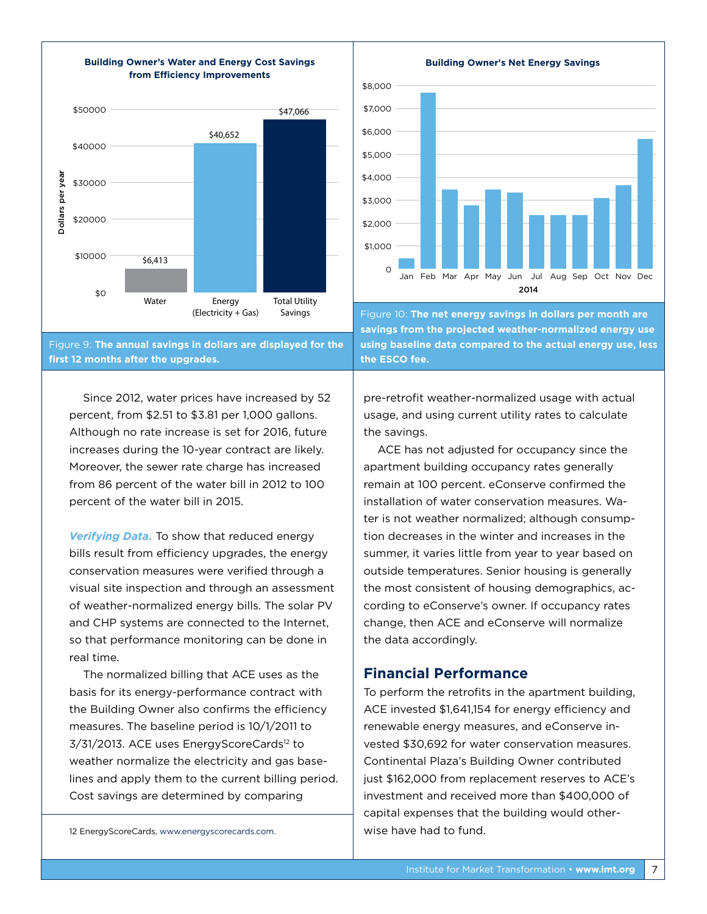

**Building Owner's Water and Energy Cost Savings**

**Building Owner's Net Energy Savings**



Figure 10: **The net energy savings in dollars per month are savings from the projected weather-normalized energy use using baseline data compared to the actual energy use, less the ESCO fee.** 

Since 2012, water prices have increased by 52 percent, from \$2.51 to \$3.81 per 1,000 gallons. Although no rate increase is set for 2016, future increases during the 10-year contract are likely. Moreover, the sewer rate charge has increased from 86 percent of the water bill in 2012 to 100 percent of the water bill in 2015.

*Verifying Data.* To show that reduced energy bills result from efficiency upgrades, the energy conservation measures were verified through a visual site inspection and through an assessment of weather-normalized energy bills. The solar PV and CHP systems are connected to the Internet, so that performance monitoring can be done in real time.

The normalized billing that ACE uses as the basis for its energy-performance contract with the Building Owner also confirms the efficiency measures. The baseline period is 10/1/2011 to 3/31/2013. ACE uses EnergyScoreCards<sup>12</sup> to weather normalize the electricity and gas baselines and apply them to the current billing period. Cost savings are determined by comparing

12 EnergyScoreCards, [www.energyscorecards.com](http://www.energyscorecards.com).

pre-retrofit weather-normalized usage with actual usage, and using current utility rates to calculate the savings.

ACE has not adjusted for occupancy since the apartment building occupancy rates generally remain at 100 percent. eConserve confirmed the installation of water conservation measures. Water is not weather normalized; although consumption decreases in the winter and increases in the summer, it varies little from year to year based on outside temperatures. Senior housing is generally the most consistent of housing demographics, according to eConserve's owner. If occupancy rates change, then ACE and eConserve will normalize the data accordingly.

# **Financial Performance**

To perform the retrofits in the apartment building, ACE invested \$1,641,154 for energy efficiency and renewable energy measures, and eConserve invested \$30,692 for water conservation measures. Continental Plaza's Building Owner contributed just \$162,000 from replacement reserves to ACE's investment and received more than \$400,000 of capital expenses that the building would otherwise have had to fund.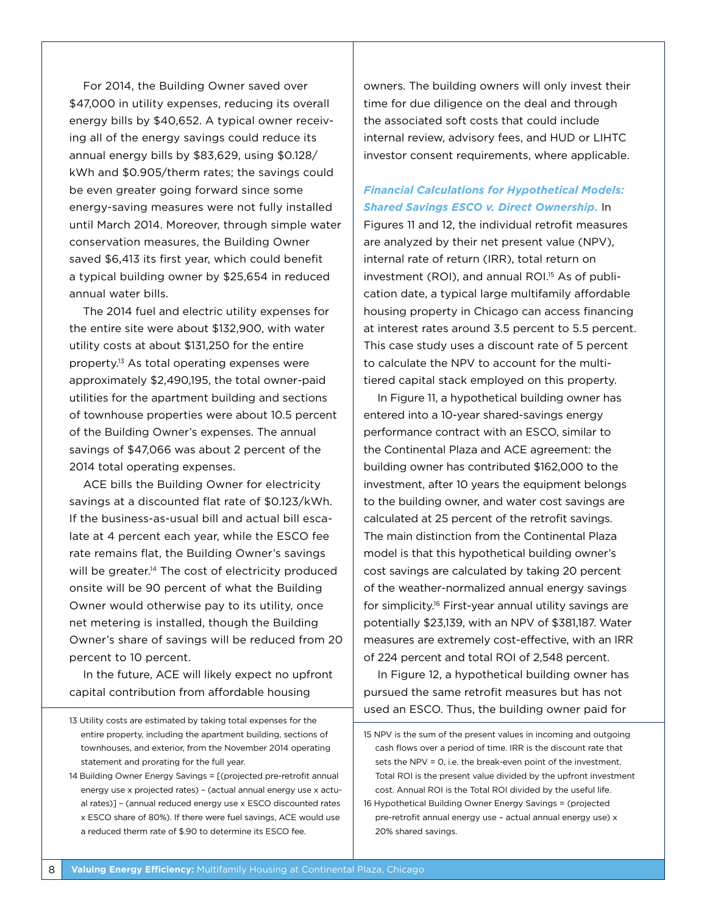For 2014, the Building Owner saved over \$47,000 in utility expenses, reducing its overall energy bills by \$40,652. A typical owner receiving all of the energy savings could reduce its annual energy bills by \$83,629, using \$0.128/ kWh and \$0.905/therm rates; the savings could be even greater going forward since some energy-saving measures were not fully installed until March 2014. Moreover, through simple water conservation measures, the Building Owner saved \$6,413 its first year, which could benefit a typical building owner by \$25,654 in reduced annual water bills.

The 2014 fuel and electric utility expenses for the entire site were about \$132,900, with water utility costs at about \$131,250 for the entire property.13 As total operating expenses were approximately \$2,490,195, the total owner-paid utilities for the apartment building and sections of townhouse properties were about 10.5 percent of the Building Owner's expenses. The annual savings of \$47,066 was about 2 percent of the 2014 total operating expenses.

ACE bills the Building Owner for electricity savings at a discounted flat rate of \$0.123/kWh. If the business-as-usual bill and actual bill escalate at 4 percent each year, while the ESCO fee rate remains flat, the Building Owner's savings will be greater.<sup>14</sup> The cost of electricity produced onsite will be 90 percent of what the Building Owner would otherwise pay to its utility, once net metering is installed, though the Building Owner's share of savings will be reduced from 20 percent to 10 percent.

In the future, ACE will likely expect no upfront capital contribution from affordable housing

owners. The building owners will only invest their time for due diligence on the deal and through the associated soft costs that could include internal review, advisory fees, and HUD or LIHTC investor consent requirements, where applicable.

# *Financial Calculations for Hypothetical Models: Shared Savings ESCO v. Direct Ownership.* In

Figures 11 and 12, the individual retrofit measures are analyzed by their net present value (NPV), internal rate of return (IRR), total return on investment (ROI), and annual ROI.<sup>15</sup> As of publication date, a typical large multifamily affordable housing property in Chicago can access financing at interest rates around 3.5 percent to 5.5 percent. This case study uses a discount rate of 5 percent to calculate the NPV to account for the multitiered capital stack employed on this property.

In Figure 11, a hypothetical building owner has entered into a 10-year shared-savings energy performance contract with an ESCO, similar to the Continental Plaza and ACE agreement: the building owner has contributed \$162,000 to the investment, after 10 years the equipment belongs to the building owner, and water cost savings are calculated at 25 percent of the retrofit savings. The main distinction from the Continental Plaza model is that this hypothetical building owner's cost savings are calculated by taking 20 percent of the weather-normalized annual energy savings for simplicity.16 First-year annual utility savings are potentially \$23,139, with an NPV of \$381,187. Water measures are extremely cost-effective, with an IRR of 224 percent and total ROI of 2,548 percent.

In Figure 12, a hypothetical building owner has pursued the same retrofit measures but has not used an ESCO. Thus, the building owner paid for

<sup>13</sup> Utility costs are estimated by taking total expenses for the entire property, including the apartment building, sections of townhouses, and exterior, from the November 2014 operating statement and prorating for the full year.

<sup>14</sup> Building Owner Energy Savings = [(projected pre-retrofit annual energy use x projected rates) – (actual annual energy use x actual rates)] – (annual reduced energy use x ESCO discounted rates x ESCO share of 80%). If there were fuel savings, ACE would use a reduced therm rate of \$.90 to determine its ESCO fee.

<sup>15</sup> NPV is the sum of the present values in incoming and outgoing cash flows over a period of time. IRR is the discount rate that sets the NPV = 0, i.e. the break-even point of the investment. Total ROI is the present value divided by the upfront investment cost. Annual ROI is the Total ROI divided by the useful life.

<sup>16</sup> Hypothetical Building Owner Energy Savings = (projected pre-retrofit annual energy use – actual annual energy use) x 20% shared savings.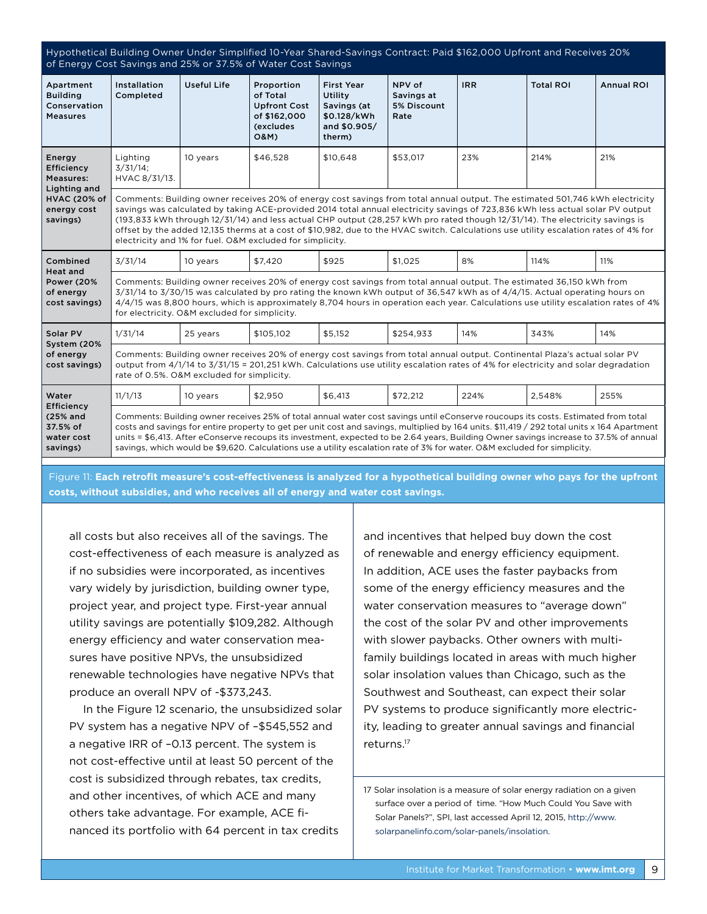Hypothetical Building Owner Under Simplified 10-Year Shared-Savings Contract: Paid \$162,000 Upfront and Receives 20% of Energy Cost Savings and 25% or 37.5% of Water Cost Savings Apartment Building Conservation Measures Installation Completed Useful Life | Proportion of Total Upfront Cost of \$162,000 (excludes O&M) First Year Utility Savings (at \$0.128/kWh and \$0.905/ therm) NPV of Savings at 5% Discount Rate IRR Total ROI Annual ROI Energy Efficiency Measures: Lighting and HVAC (20% of energy cost savings) Lighting 3/31/14; HVAC 8/31/13. 10 years | \$46,528 | \$10,648 | \$53,017 | 23% | 214% | 21% Comments: Building owner receives 20% of energy cost savings from total annual output. The estimated 501,746 kWh electricity savings was calculated by taking ACE-provided 2014 total annual electricity savings of 723,836 kWh less actual solar PV output (193,833 kWh through 12/31/14) and less actual CHP output (28,257 kWh pro rated though 12/31/14). The electricity savings is offset by the added 12,135 therms at a cost of \$10,982, due to the HVAC switch. Calculations use utility escalation rates of 4% for electricity and 1% for fuel. O&M excluded for simplicity. Combined Heat and Power (20% of energy cost savings) 3/31/14 | 10 years | \$7,420 | \$925 | \$1,025 | 8% | 114% | 11% Comments: Building owner receives 20% of energy cost savings from total annual output. The estimated 36,150 kWh from 3/31/14 to 3/30/15 was calculated by pro rating the known kWh output of 36,547 kWh as of 4/4/15. Actual operating hours on 4/4/15 was 8,800 hours, which is approximately 8,704 hours in operation each year. Calculations use utility escalation rates of 4% for electricity. O&M excluded for simplicity. Solar PV System (20% of energy cost savings) 1/31/14 | 25 years | \$105,102 | \$5,152 | \$254,933 | 14% | 343% | 14% Comments: Building owner receives 20% of energy cost savings from total annual output. Continental Plaza's actual solar PV output from 4/1/14 to 3/31/15 = 201,251 kWh. Calculations use utility escalation rates of 4% for electricity and solar degradation rate of 0.5%. O&M excluded for simplicity. Water **Efficiency** (25% and 37.5% of water cost savings) 11/1/13 | 10 years | \$2,950 | \$6,413 | \$72,212 | 224% | 2,548% | 255% Comments: Building owner receives 25% of total annual water cost savings until eConserve roucoups its costs. Estimated from total costs and savings for entire property to get per unit cost and savings, multiplied by 164 units. \$11,419 / 292 total units x 164 Apartment units = \$6,413. After eConserve recoups its investment, expected to be 2.64 years, Building Owner savings increase to 37.5% of annual savings, which would be \$9,620. Calculations use a utility escalation rate of 3% for water. O&M excluded for simplicity.

Figure 11: **Each retrofit measure's cost-effectiveness is analyzed for a hypothetical building owner who pays for the upfront costs, without subsidies, and who receives all of energy and water cost savings.** 

all costs but also receives all of the savings. The cost-effectiveness of each measure is analyzed as if no subsidies were incorporated, as incentives vary widely by jurisdiction, building owner type, project year, and project type. First-year annual utility savings are potentially \$109,282. Although energy efficiency and water conservation measures have positive NPVs, the unsubsidized renewable technologies have negative NPVs that produce an overall NPV of -\$373,243.

In the Figure 12 scenario, the unsubsidized solar PV system has a negative NPV of –\$545,552 and a negative IRR of –0.13 percent. The system is not cost-effective until at least 50 percent of the cost is subsidized through rebates, tax credits, and other incentives, of which ACE and many others take advantage. For example, ACE financed its portfolio with 64 percent in tax credits

and incentives that helped buy down the cost of renewable and energy efficiency equipment. In addition, ACE uses the faster paybacks from some of the energy efficiency measures and the water conservation measures to "average down" the cost of the solar PV and other improvements with slower paybacks. Other owners with multifamily buildings located in areas with much higher solar insolation values than Chicago, such as the Southwest and Southeast, can expect their solar PV systems to produce significantly more electricity, leading to greater annual savings and financial returns.17

17 Solar insolation is a measure of solar energy radiation on a given surface over a period of time. "How Much Could You Save with Solar Panels?", SPI, last accessed April 12, 2015, [http://www.](http://www.solarpanelinfo.com/solar-panels/insolation) [solarpanelinfo.com/solar-panels/insolation.](http://www.solarpanelinfo.com/solar-panels/insolation)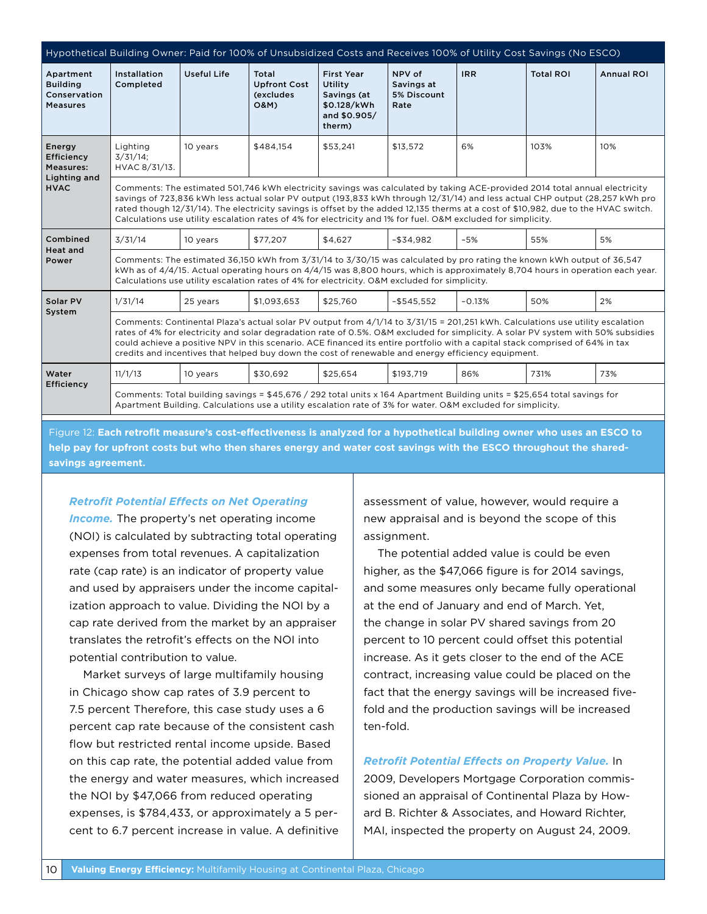| Hypothetical Building Owner: Paid for 100% of Unsubsidized Costs and Receives 100% of Utility Cost Savings (No ESCO) |                                                                                                                                                                                                                                                                                                                                                                                                                                                                                                                     |                    |                                                              |                                                                                      |                                             |            |                  |                   |
|----------------------------------------------------------------------------------------------------------------------|---------------------------------------------------------------------------------------------------------------------------------------------------------------------------------------------------------------------------------------------------------------------------------------------------------------------------------------------------------------------------------------------------------------------------------------------------------------------------------------------------------------------|--------------------|--------------------------------------------------------------|--------------------------------------------------------------------------------------|---------------------------------------------|------------|------------------|-------------------|
| Apartment<br><b>Building</b><br>Conservation<br><b>Measures</b>                                                      | Installation<br>Completed                                                                                                                                                                                                                                                                                                                                                                                                                                                                                           | <b>Useful Life</b> | Total<br><b>Upfront Cost</b><br>(excludes<br><b>O&amp;M)</b> | <b>First Year</b><br>Utility<br>Savings (at<br>\$0.128/kWh<br>and \$0.905/<br>therm) | NPV of<br>Savings at<br>5% Discount<br>Rate | <b>IRR</b> | <b>Total ROI</b> | <b>Annual ROI</b> |
| Energy<br>Efficiency<br><b>Measures:</b><br>Lighting and<br><b>HVAC</b>                                              | Lighting<br>$3/31/14$ ;<br>HVAC 8/31/13.                                                                                                                                                                                                                                                                                                                                                                                                                                                                            | 10 years           | \$484,154                                                    | \$53,241                                                                             | \$13,572                                    | 6%         | 103%             | 10%               |
|                                                                                                                      | Comments: The estimated 501,746 kWh electricity savings was calculated by taking ACE-provided 2014 total annual electricity<br>savings of 723,836 kWh less actual solar PV output (193,833 kWh through 12/31/14) and less actual CHP output (28,257 kWh pro<br>rated though 12/31/14). The electricity savings is offset by the added 12,135 therms at a cost of \$10,982, due to the HVAC switch.<br>Calculations use utility escalation rates of 4% for electricity and 1% for fuel. O&M excluded for simplicity. |                    |                                                              |                                                                                      |                                             |            |                  |                   |
| Combined<br><b>Heat and</b><br>Power                                                                                 | 3/31/14                                                                                                                                                                                                                                                                                                                                                                                                                                                                                                             | 10 years           | \$77,207                                                     | \$4,627                                                                              | $-$ \$34,982                                | $-5%$      | 55%              | 5%                |
|                                                                                                                      | Comments: The estimated 36,150 kWh from 3/31/14 to 3/30/15 was calculated by pro rating the known kWh output of 36,547<br>kWh as of 4/4/15. Actual operating hours on 4/4/15 was 8,800 hours, which is approximately 8,704 hours in operation each year.<br>Calculations use utility escalation rates of 4% for electricity. O&M excluded for simplicity.                                                                                                                                                           |                    |                                                              |                                                                                      |                                             |            |                  |                   |
| Solar PV<br>System                                                                                                   | 1/31/14                                                                                                                                                                                                                                                                                                                                                                                                                                                                                                             | 25 years           | \$1.093.653                                                  | \$25.760                                                                             | $-$ \$545.552                               | $-0.13%$   | 50%              | 2%                |
|                                                                                                                      | Comments: Continental Plaza's actual solar PV output from 4/1/14 to 3/31/15 = 201,251 kWh. Calculations use utility escalation<br>rates of 4% for electricity and solar degradation rate of 0.5%. O&M excluded for simplicity. A solar PV system with 50% subsidies<br>could achieve a positive NPV in this scenario. ACE financed its entire portfolio with a capital stack comprised of 64% in tax<br>credits and incentives that helped buy down the cost of renewable and energy efficiency equipment.          |                    |                                                              |                                                                                      |                                             |            |                  |                   |
| Water<br>Efficiency                                                                                                  | 11/1/13                                                                                                                                                                                                                                                                                                                                                                                                                                                                                                             | 10 years           | \$30.692                                                     | \$25.654                                                                             | \$193.719                                   | 86%        | 731%             | 73%               |
|                                                                                                                      | Comments: Total building savings = \$45,676 / 292 total units x 164 Apartment Building units = \$25,654 total savings for<br>Apartment Building. Calculations use a utility escalation rate of 3% for water. O&M excluded for simplicity.                                                                                                                                                                                                                                                                           |                    |                                                              |                                                                                      |                                             |            |                  |                   |

Figure 12: **Each retrofit measure's cost-effectiveness is analyzed for a hypothetical building owner who uses an ESCO to help pay for upfront costs but who then shares energy and water cost savings with the ESCO throughout the sharedsavings agreement.**

#### *Retrofit Potential Effects on Net Operating*

*Income.* The property's net operating income (NOI) is calculated by subtracting total operating expenses from total revenues. A capitalization rate (cap rate) is an indicator of property value and used by appraisers under the income capitalization approach to value. Dividing the NOI by a cap rate derived from the market by an appraiser translates the retrofit's effects on the NOI into potential contribution to value.

Market surveys of large multifamily housing in Chicago show cap rates of 3.9 percent to 7.5 percent Therefore, this case study uses a 6 percent cap rate because of the consistent cash flow but restricted rental income upside. Based on this cap rate, the potential added value from the energy and water measures, which increased the NOI by \$47,066 from reduced operating expenses, is \$784,433, or approximately a 5 percent to 6.7 percent increase in value. A definitive assessment of value, however, would require a new appraisal and is beyond the scope of this assignment.

The potential added value is could be even higher, as the \$47,066 figure is for 2014 savings, and some measures only became fully operational at the end of January and end of March. Yet, the change in solar PV shared savings from 20 percent to 10 percent could offset this potential increase. As it gets closer to the end of the ACE contract, increasing value could be placed on the fact that the energy savings will be increased fivefold and the production savings will be increased ten-fold.

#### *Retrofit Potential Effects on Property Value.* In

2009, Developers Mortgage Corporation commissioned an appraisal of Continental Plaza by Howard B. Richter & Associates, and Howard Richter, MAI, inspected the property on August 24, 2009.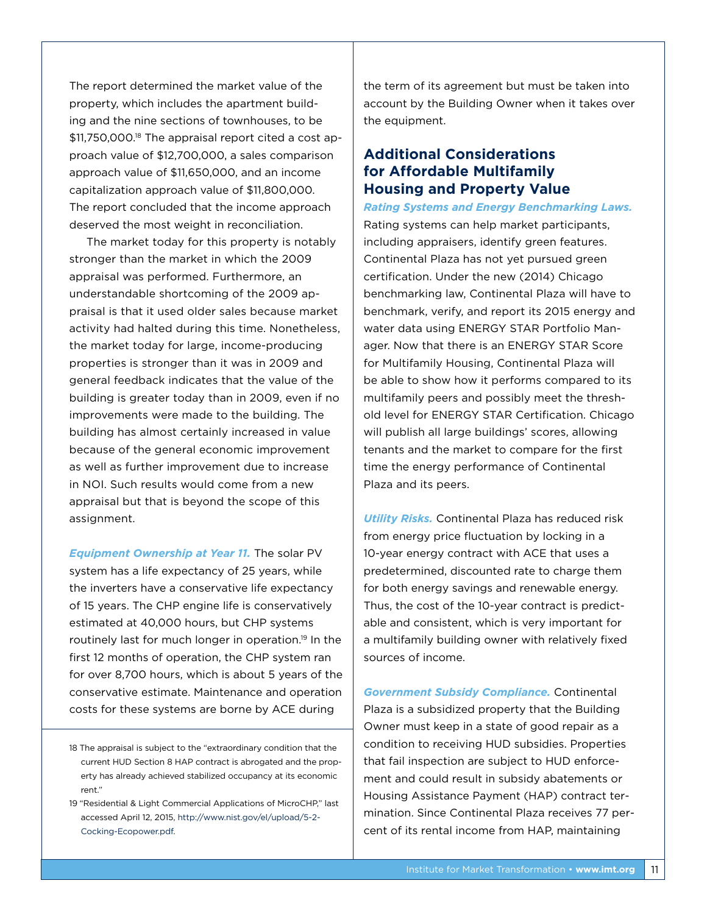The report determined the market value of the property, which includes the apartment building and the nine sections of townhouses, to be \$11,750,000.18 The appraisal report cited a cost approach value of \$12,700,000, a sales comparison approach value of \$11,650,000, and an income capitalization approach value of \$11,800,000. The report concluded that the income approach deserved the most weight in reconciliation.

 The market today for this property is notably stronger than the market in which the 2009 appraisal was performed. Furthermore, an understandable shortcoming of the 2009 appraisal is that it used older sales because market activity had halted during this time. Nonetheless, the market today for large, income-producing properties is stronger than it was in 2009 and general feedback indicates that the value of the building is greater today than in 2009, even if no improvements were made to the building. The building has almost certainly increased in value because of the general economic improvement as well as further improvement due to increase in NOI. Such results would come from a new appraisal but that is beyond the scope of this assignment.

*Equipment Ownership at Year 11.* The solar PV system has a life expectancy of 25 years, while the inverters have a conservative life expectancy of 15 years. The CHP engine life is conservatively estimated at 40,000 hours, but CHP systems routinely last for much longer in operation.19 In the first 12 months of operation, the CHP system ran for over 8,700 hours, which is about 5 years of the conservative estimate. Maintenance and operation costs for these systems are borne by ACE during

the term of its agreement but must be taken into account by the Building Owner when it takes over the equipment.

# **Additional Considerations for Affordable Multifamily Housing and Property Value**

*Rating Systems and Energy Benchmarking Laws.* Rating systems can help market participants, including appraisers, identify green features. Continental Plaza has not yet pursued green certification. Under the new (2014) Chicago benchmarking law, Continental Plaza will have to benchmark, verify, and report its 2015 energy and water data using ENERGY STAR Portfolio Manager. Now that there is an ENERGY STAR Score for Multifamily Housing, Continental Plaza will be able to show how it performs compared to its multifamily peers and possibly meet the threshold level for ENERGY STAR Certification. Chicago will publish all large buildings' scores, allowing tenants and the market to compare for the first time the energy performance of Continental Plaza and its peers.

*Utility Risks.* Continental Plaza has reduced risk from energy price fluctuation by locking in a 10-year energy contract with ACE that uses a predetermined, discounted rate to charge them for both energy savings and renewable energy. Thus, the cost of the 10-year contract is predictable and consistent, which is very important for a multifamily building owner with relatively fixed sources of income.

*Government Subsidy Compliance.* Continental Plaza is a subsidized property that the Building Owner must keep in a state of good repair as a condition to receiving HUD subsidies. Properties that fail inspection are subject to HUD enforcement and could result in subsidy abatements or Housing Assistance Payment (HAP) contract termination. Since Continental Plaza receives 77 percent of its rental income from HAP, maintaining

<sup>18</sup> The appraisal is subject to the "extraordinary condition that the current HUD Section 8 HAP contract is abrogated and the property has already achieved stabilized occupancy at its economic rent."

<sup>19</sup> "Residential & Light Commercial Applications of MicroCHP," last accessed April 12, 2015, [http://www.nist.gov/el/upload/5-2-](http://www.nist.gov/el/upload/5-2-Cocking-Ecopower.pdf) [Cocking-Ecopower.pdf](http://www.nist.gov/el/upload/5-2-Cocking-Ecopower.pdf).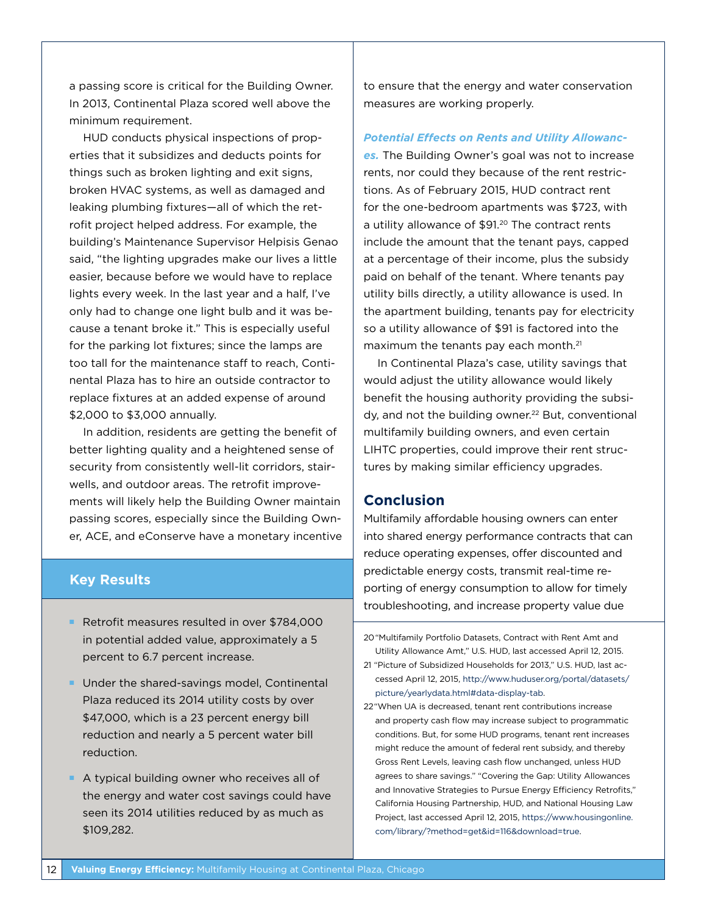a passing score is critical for the Building Owner. In 2013, Continental Plaza scored well above the minimum requirement.

HUD conducts physical inspections of properties that it subsidizes and deducts points for things such as broken lighting and exit signs, broken HVAC systems, as well as damaged and leaking plumbing fixtures—all of which the retrofit project helped address. For example, the building's Maintenance Supervisor Helpisis Genao said, "the lighting upgrades make our lives a little easier, because before we would have to replace lights every week. In the last year and a half, I've only had to change one light bulb and it was because a tenant broke it." This is especially useful for the parking lot fixtures; since the lamps are too tall for the maintenance staff to reach, Continental Plaza has to hire an outside contractor to replace fixtures at an added expense of around \$2,000 to \$3,000 annually.

In addition, residents are getting the benefit of better lighting quality and a heightened sense of security from consistently well-lit corridors, stairwells, and outdoor areas. The retrofit improvements will likely help the Building Owner maintain passing scores, especially since the Building Owner, ACE, and eConserve have a monetary incentive

## **Key Results**

- Retrofit measures resulted in over \$784,000 in potential added value, approximately a 5 percent to 6.7 percent increase.
- **Under the shared-savings model, Continental** Plaza reduced its 2014 utility costs by over \$47,000, which is a 23 percent energy bill reduction and nearly a 5 percent water bill reduction.
- A typical building owner who receives all of the energy and water cost savings could have seen its 2014 utilities reduced by as much as \$109,282.

to ensure that the energy and water conservation measures are working properly.

*Potential Effects on Rents and Utility Allowances.* The Building Owner's goal was not to increase rents, nor could they because of the rent restrictions. As of February 2015, HUD contract rent for the one-bedroom apartments was \$723, with a utility allowance of \$91.20 The contract rents include the amount that the tenant pays, capped at a percentage of their income, plus the subsidy paid on behalf of the tenant. Where tenants pay utility bills directly, a utility allowance is used. In the apartment building, tenants pay for electricity so a utility allowance of \$91 is factored into the maximum the tenants pay each month.<sup>21</sup>

In Continental Plaza's case, utility savings that would adjust the utility allowance would likely benefit the housing authority providing the subsidy, and not the building owner.22 But, conventional multifamily building owners, and even certain LIHTC properties, could improve their rent structures by making similar efficiency upgrades.

# **Conclusion**

Multifamily affordable housing owners can enter into shared energy performance contracts that can reduce operating expenses, offer discounted and predictable energy costs, transmit real-time reporting of energy consumption to allow for timely troubleshooting, and increase property value due

<sup>20&</sup>quot;Multifamily Portfolio Datasets, Contract with Rent Amt and Utility Allowance Amt," U.S. HUD, last accessed April 12, 2015.

<sup>21</sup> "Picture of Subsidized Households for 2013," U.S. HUD, last accessed April 12, 2015, [http://www.huduser.org/portal/datasets/](http://www.huduser.org/portal/datasets/picture/yearlydata.html#data-display-tab) [picture/yearlydata.html#data-display-tab.](http://www.huduser.org/portal/datasets/picture/yearlydata.html#data-display-tab)

<sup>22&</sup>quot;When UA is decreased, tenant rent contributions increase and property cash flow may increase subject to programmatic conditions. But, for some HUD programs, tenant rent increases might reduce the amount of federal rent subsidy, and thereby Gross Rent Levels, leaving cash flow unchanged, unless HUD agrees to share savings." "Covering the Gap: Utility Allowances and Innovative Strategies to Pursue Energy Efficiency Retrofits," California Housing Partnership, HUD, and National Housing Law Project, last accessed April 12, 2015, [https://www.housingonline.](https://www.housingonline.com/library/?method=get&id=116&download=true) [com/library/?method=get&id=116&download=true.](https://www.housingonline.com/library/?method=get&id=116&download=true)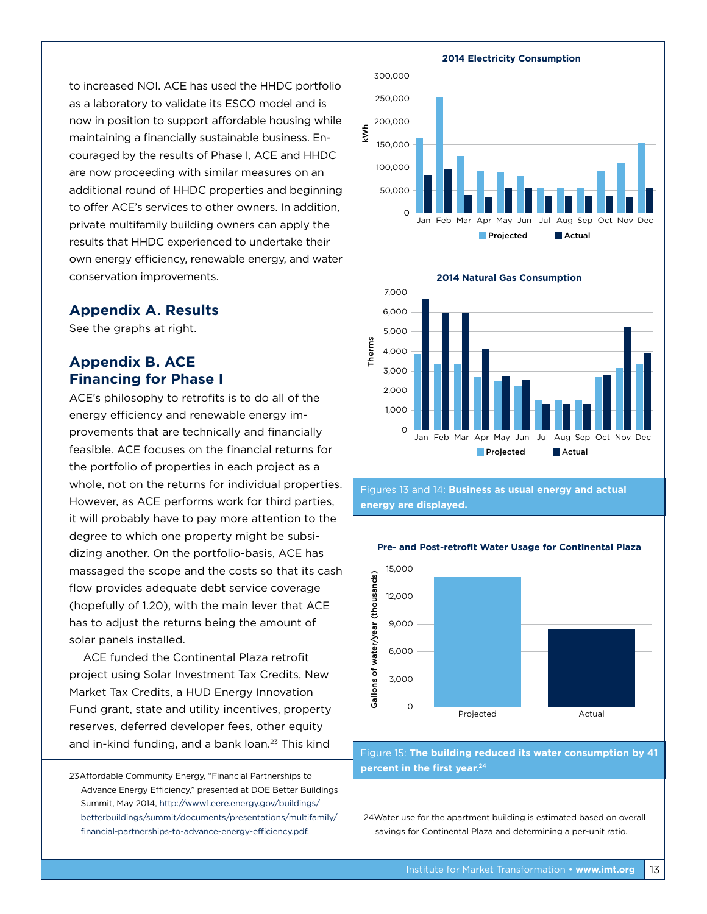to increased NOI. ACE has used the HHDC portfolio as a laboratory to validate its ESCO model and is now in position to support affordable housing while maintaining a financially sustainable business. Encouraged by the results of Phase I, ACE and HHDC are now proceeding with similar measures on an additional round of HHDC properties and beginning to offer ACE's services to other owners. In addition, private multifamily building owners can apply the results that HHDC experienced to undertake their own energy efficiency, renewable energy, and water conservation improvements.

# **Appendix A. Results**

See the graphs at right.

# **Appendix B. ACE Financing for Phase I**

ACE's philosophy to retrofits is to do all of the energy efficiency and renewable energy improvements that are technically and financially feasible. ACE focuses on the financial returns for the portfolio of properties in each project as a whole, not on the returns for individual properties. However, as ACE performs work for third parties, it will probably have to pay more attention to the degree to which one property might be subsidizing another. On the portfolio-basis, ACE has massaged the scope and the costs so that its cash flow provides adequate debt service coverage (hopefully of 1.20), with the main lever that ACE has to adjust the returns being the amount of solar panels installed.

ACE funded the Continental Plaza retrofit project using Solar Investment Tax Credits, New Market Tax Credits, a HUD Energy Innovation Fund grant, state and utility incentives, property reserves, deferred developer fees, other equity and in-kind funding, and a bank loan.23 This kind

23Affordable Community Energy, "Financial Partnerships to Advance Energy Efficiency," presented at DOE Better Buildings Summit, May 2014, [http://www1.eere.energy.gov/buildings/](http://www1.eere.energy.gov/buildings/betterbuildings/summit/documents/presentations/multifamily/financial-partnerships-to-advance-energy-efficiency.pdf) [betterbuildings/summit/documents/presentations/multifamily/](http://www1.eere.energy.gov/buildings/betterbuildings/summit/documents/presentations/multifamily/financial-partnerships-to-advance-energy-efficiency.pdf) [financial-partnerships-to-advance-energy-efficiency.pdf](http://www1.eere.energy.gov/buildings/betterbuildings/summit/documents/presentations/multifamily/financial-partnerships-to-advance-energy-efficiency.pdf).





Figures 13 and 14: **Business as usual energy and actual energy are displayed.**



#### **Pre- and Post-retrofit Water Usage for Continental Plaza**

Figure 15: **The building reduced its water consumption by 41 percent in the first year.24**

24Water use for the apartment building is estimated based on overall savings for Continental Plaza and determining a per-unit ratio.